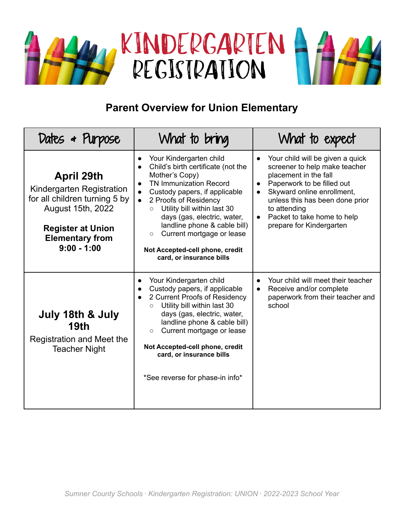

## **Parent Overview for Union Elementary**

| Dates & Purpose                                                                                                                                                             | What to bring                                                                                                                                                                                                                                                                                                                                                                                                        | What to expect                                                                                                                                                                                                                                                       |
|-----------------------------------------------------------------------------------------------------------------------------------------------------------------------------|----------------------------------------------------------------------------------------------------------------------------------------------------------------------------------------------------------------------------------------------------------------------------------------------------------------------------------------------------------------------------------------------------------------------|----------------------------------------------------------------------------------------------------------------------------------------------------------------------------------------------------------------------------------------------------------------------|
| <b>April 29th</b><br>Kindergarten Registration<br>for all children turning 5 by<br>August 15th, 2022<br><b>Register at Union</b><br><b>Elementary from</b><br>$9:00 - 1:00$ | Your Kindergarten child<br>$\bullet$<br>Child's birth certificate (not the<br>Mother's Copy)<br><b>TN Immunization Record</b><br>Custody papers, if applicable<br>2 Proofs of Residency<br>$\bullet$<br>Utility bill within last 30<br>$\circ$<br>days (gas, electric, water,<br>landline phone & cable bill)<br>Current mortgage or lease<br>$\circ$<br>Not Accepted-cell phone, credit<br>card, or insurance bills | Your child will be given a quick<br>screener to help make teacher<br>placement in the fall<br>Paperwork to be filled out<br>Skyward online enrollment,<br>unless this has been done prior<br>to attending<br>Packet to take home to help<br>prepare for Kindergarten |
| July 18th & July<br>19th<br>Registration and Meet the<br><b>Teacher Night</b>                                                                                               | Your Kindergarten child<br>$\bullet$<br>Custody papers, if applicable<br>2 Current Proofs of Residency<br>$\bullet$<br>Utility bill within last 30<br>$\circ$<br>days (gas, electric, water,<br>landline phone & cable bill)<br>Current mortgage or lease<br>$\circ$<br>Not Accepted-cell phone, credit<br>card, or insurance bills<br>*See reverse for phase-in info*                                               | Your child will meet their teacher<br>$\bullet$<br>Receive and/or complete<br>paperwork from their teacher and<br>school                                                                                                                                             |